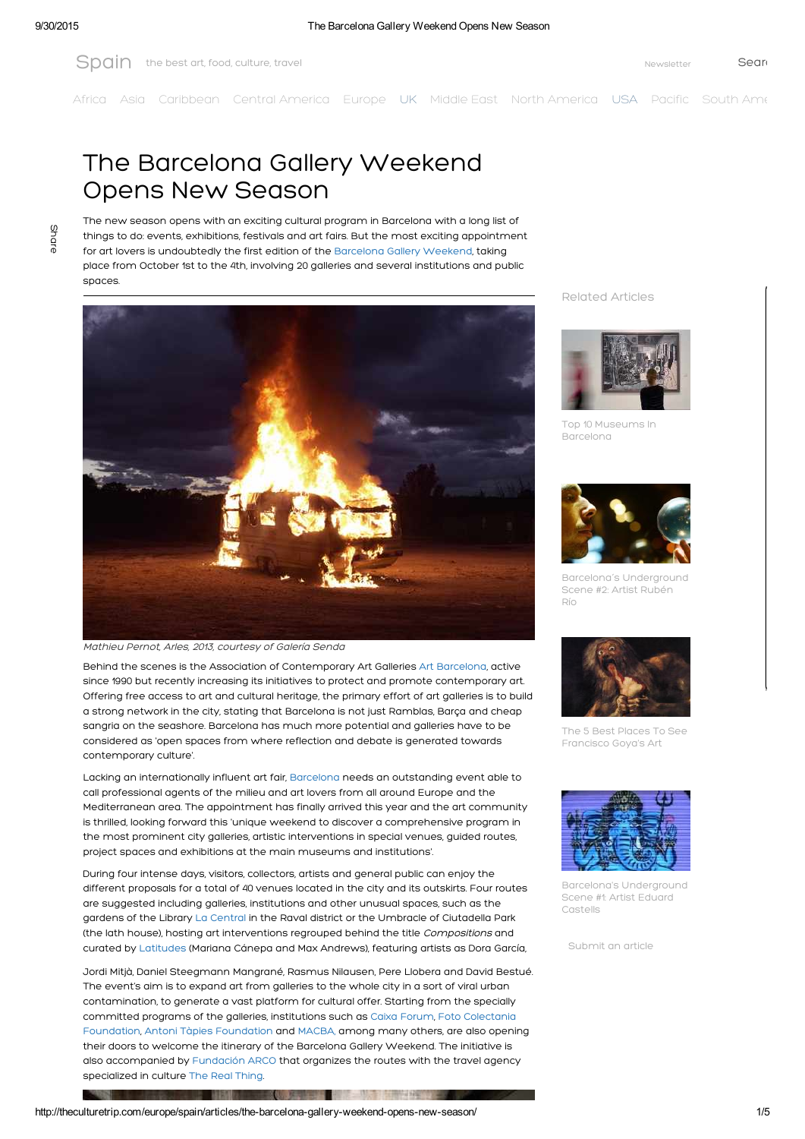[Africa](http://theculturetrip.com/africa/) [Asia](http://theculturetrip.com/asia/) [Caribbean](http://theculturetrip.com/caribbean/) Central [America](http://theculturetrip.com/south-america/) [Europe](http://theculturetrip.com/europe/) [UK](http://theculturetrip.com/europe/united-kingdom/) [Middle](http://theculturetrip.com/middle-east/) East North America [USA](http://theculturetrip.com/north-america/usa/) [Pacific](http://theculturetrip.com/pacific/) South Amer

## The Barcelona Gallery Weekend Opens New Season

Share

The new season opens with an exciting cultural program in Barcelona with a long list of things to do: events, exhibitions, festivals and art fairs. But the most exciting appointment for art lovers is undoubtedly the first edition of the [Barcelona](http://www.barcelonagalleryweekend.com/) Gallery Weekend, taking place from October 1st to the 4th, involving 20 galleries and several institutions and public spaces



## Mathieu Pernot, Arles, 2013, courtesy of Galería Senda

Behind the scenes is the Association of Contemporary Art Galleries Art [Barcelona,](http://www.artbarcelona.es/) active since 1990 but recently increasing its initiatives to protect and promote contemporary art. Offering free access to art and cultural heritage, the primary effort of art galleries is to build a strong network in the city, stating that Barcelona is not just Ramblas, Barça and cheap sangria on the seashore. Barcelona has much more potential and galleries have to be considered as 'open spaces from where reflection and debate is generated towards contemporary culture'.

Lacking an internationally influent art fair, [Barcelona](http://theculturetrip.com/europe/spain/articles/the-top-10-things-to-do-and-see-in-barcelona/) needs an outstanding event able to call professional agents of the milieu and art lovers from all around Europe and the Mediterranean area. The appointment has finally arrived this year and the art community is thrilled, looking forward this 'unique weekend to discover a comprehensive program in the most prominent city galleries, artistic interventions in special venues, guided routes, project spaces and exhibitions at the main museums and institutions'.

During four intense days, visitors, collectors, artists and general public can enjoy the different proposals for a total of 40 venues located in the city and its outskirts. Four routes are suggested including galleries, institutions and other unusual spaces, such as the gardens of the Library La [Central](https://www.lacentral.com/) in the Raval district or the Umbracle of Ciutadella Park (the lath house), hosting art interventions regrouped behind the title Compositions and curated by [Latitudes](http://www.lttds.org/) (Mariana Cánepa and Max Andrews), featuring artists as Dora García,

Jordi Mitjà, Daniel Steegmann Mangrané, Rasmus Nilausen, Pere Llobera and David Bestué. The event's aim is to expand art from galleries to the whole city in a sort of viral urban contamination, to generate a vast platform for cultural offer. Starting from the specially [committed](http://www.colectania.es/) programs of the galleries, institutions such as Caixa [Forum,](https://obrasocial.lacaixa.es/nuestroscentros/caixaforumbarcelona/caixaforumbarcelona_es.html) Foto Colectania Foundation, Antoni Tàpies [Foundation](http://www.fundaciotapies.org/site/spip.php?rubrique65) and [MACBA,](http://www.macba.cat/) among many others, are also opening their doors to welcome the itinerary of the Barcelona Gallery Weekend. The initiative is also accompanied by [Fundación](http://www.ifema.es/fundacionarco_01/) ARCO that organizes the routes with the travel agency specialized in culture The Real [Thing.](http://therealthing.es/)

. . .

Related Articles



Top 10 Museums In [Barcelona](http://theculturetrip.com/europe/spain/articles/top-10-museums-in-barcelona/)



Barcelona´s [Underground](http://theculturetrip.com/europe/spain/articles/barcelonas-underground-scene-2-artist-ruben-rio/) Scene #2: Artist Rubén Río



The 5 Best Places To See [Francisco](http://theculturetrip.com/europe/spain/articles/the-5-best-places-to-see-francisco-goya-s-art/) Goya's Art



Barcelona's [Underground](http://theculturetrip.com/europe/spain/articles/just-an-artist/) Scene #1: Artist Eduard Castells

[Submit](http://theculturetrip.com/write-articles/) an article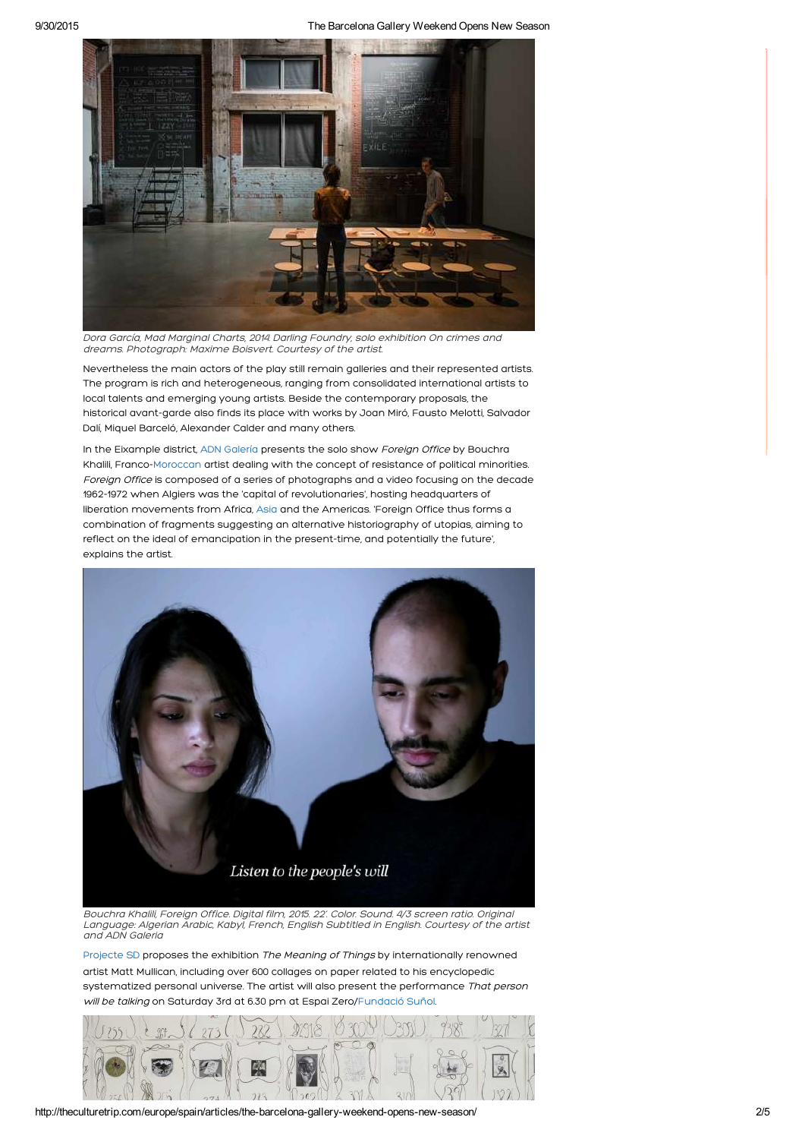

Dora García, Mad Marginal Charts, 2014. Darling Foundry, solo exhibition On crimes and dreams. Photograph: Maxime Boisvert. Courtesy of the artist.

Nevertheless the main actors of the play still remain galleries and their represented artists. The program is rich and heterogeneous, ranging from consolidated international artists to local talents and emerging young artists. Beside the contemporary proposals, the historical avant-garde also finds its place with works by Joan Miró, Fausto Melotti, Salvador Dalí, Miquel Barceló, Alexander Calder and many others.

In the Eixample district, ADN [Galería](http://www.adngaleria.com/) presents the solo show Foreign Office by Bouchra Khalili, Franco-[Moroccan](http://theculturetrip.com/africa/morocco/) artist dealing with the concept of resistance of political minorities. Foreign Office is composed of a series of photographs and a video focusing on the decade 1962-1972 when Algiers was the 'capital of revolutionaries', hosting headquarters of liberation movements from Africa, [Asia](http://theculturetrip.com/asia/) and the Americas. 'Foreign Office thus forms a combination of fragments suggesting an alternative historiography of utopias, aiming to reflect on the ideal of emancipation in the present-time, and potentially the future', explains the artist.



Bouchra Khalili, Foreign Office. Digital film, 2015. 22'. Color. Sound. 4/3 screen ratio. Original Language: Algerian Arabic, Kabyl, French, English Subtitled in English. Courtesy of the artist and ADN Galeria

[Projecte](http://www.projectesd.com/) SD proposes the exhibition The Meaning of Things by internationally renowned artist Matt Mullican, including over 600 collages on paper related to his encyclopedic systematized personal universe. The artist will also present the performance That person will be talking on Saturday 3rd at 6.30 pm at Espai Zero[/Fundació](http://www.fundaciosunol.org/es/) Suñol.



http://theculturetrip.com/europe/spain/articles/the-barcelona-gallery-weekend-opens-new-season/ 205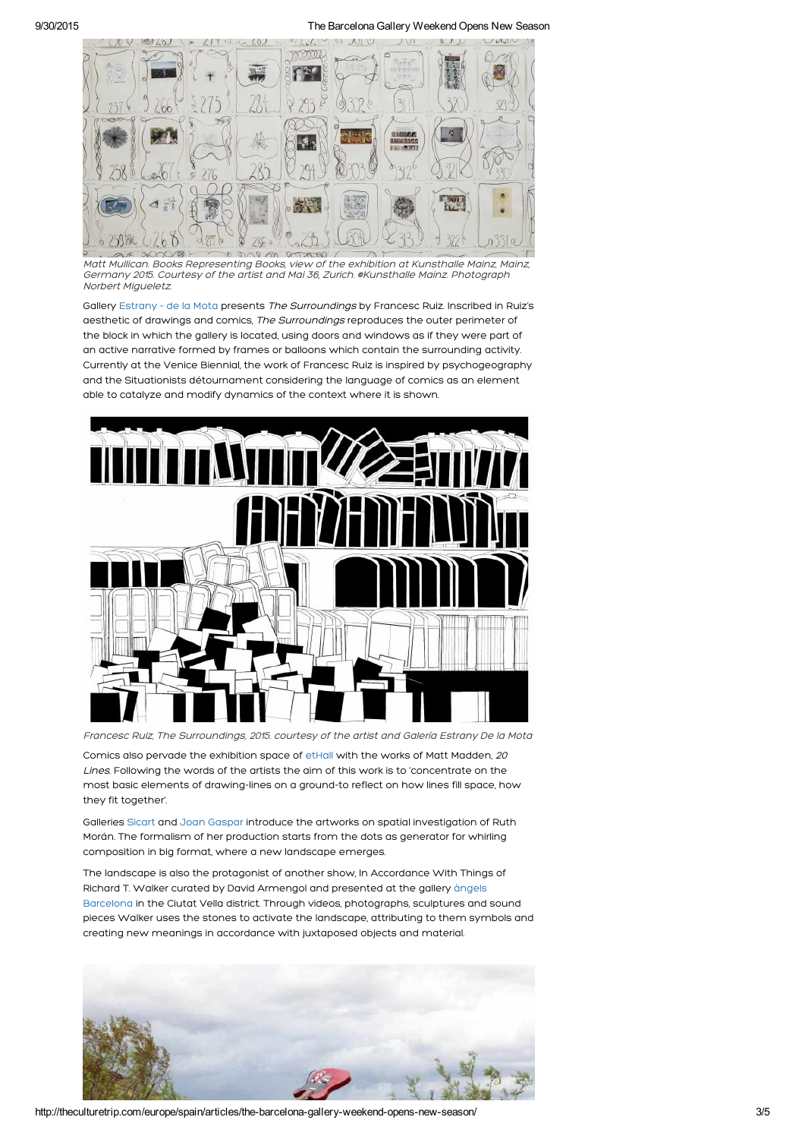9/30/2015 The Barcelona Gallery Weekend Opens New Season



Matt Mullican. Books Representing Books, view of the exhibition at Kunsthalle Mainz, Mainz, Germany 2015. Courtesy of the artist and Mai 36, Zurich. @Kunsthalle Mainz. Photograph Norbert Migueletz.

Gallery [Estrany](http://www.estranydelamota.com/) - de la Mota presents The Surroundings by Francesc Ruiz. Inscribed in Ruiz's aesthetic of drawings and comics, The Surroundings reproduces the outer perimeter of the block in which the gallery is located, using doors and windows as if they were part of an active narrative formed by frames or balloons which contain the surrounding activity. Currently at the Venice Biennial, the work of Francesc Ruiz is inspired by psychogeography and the Situationists détournament considering the language of comics as an element able to catalyze and modify dynamics of the context where it is shown.



Francesc Ruiz, The Surroundings, 2015. courtesy of the artist and Galería Estrany De la Mota

Comics also pervade the exhibition space of [etHall](http://www.ethall.net/) with the works of Matt Madden, 20 Lines. Following the words of the artists the aim of this work is to 'concentrate on the most basic elements of drawing-lines on a ground-to reflect on how lines fill space, how they fit together'.

Galleries [Sicart](http://www.galeriasicart.com/) and Joan [Gaspar](https://www.galeriajoangaspar.com/gjg/) introduce the artworks on spatial investigation of Ruth Morán. The formalism of her production starts from the dots as generator for whirling composition in big format, where a new landscape emerges.

The landscape is also the protagonist of another show, In Accordance With Things of Richard T. Walker curated by David Armengol and presented at the gallery àngels Barcelona in the Ciutat Vella district. Through videos, [photographs,](http://www.angelsbarcelona.com/) sculptures and sound pieces Walker uses the stones to activate the landscape, attributing to them symbols and creating new meanings in accordance with juxtaposed objects and material.



http://theculturetrip.com/europe/spain/articles/the-barcelona-gallery-weekend-opens-new-season/ 3/5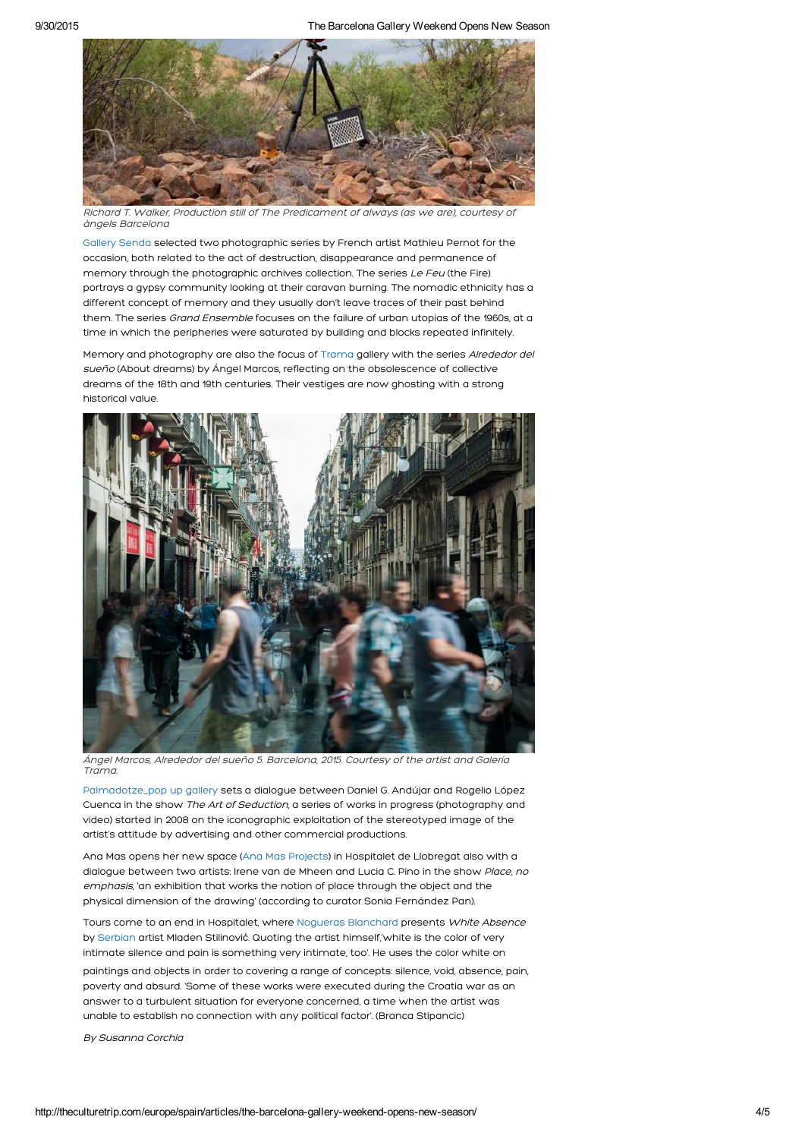

Richard T. Walker, Production still of The Predicament of always (as we are), courtesy of àngels Barcelona

[Gallery](http://galeriasenda.com/) Senda selected two photographic series by French artist Mathieu Pernot for the occasion, both related to the act of destruction, disappearance and permanence of memory through the photographic archives collection. The series Le Feu (the Fire) portrays a gypsy community looking at their caravan burning. The nomadic ethnicity has a different concept of memory and they usually don't leave traces of their past behind them. The series Grand Ensemble focuses on the failure of urban utopias of the 1960s, at a time in which the peripheries were saturated by building and blocks repeated infinitely.

Memory and photography are also the focus of [Trama](http://www.galeriatrama.com/) gallery with the series Alrededor del sueño (About dreams) by Ángel Marcos, reflecting on the obsolescence of collective dreams of the 18th and 19th centuries. Their vestiges are now ghosting with a strong historical value.



Ángel Marcos, Alrededor del sueño 5. Barcelona, 2015. Courtesy of the artist and Galería Trama.

[Palmadotze\\_pop](https://www.facebook.com/palmadotze) up gallery sets a dialogue between Daniel G. Andújar and Rogelio López Cuenca in the show The Art of Seduction, a series of works in progress (photography and video) started in 2008 on the iconographic exploitation of the stereotyped image of the artist's attitude by advertising and other commercial productions.

Ana Mas opens her new space (Ana Mas [Projects](http://www.anamasprojects.com/)) in Hospitalet de Llobregat also with a dialogue between two artists: Irene van de Mheen and Lucia C. Pino in the show Place, no emphasis, 'an exhibition that works the notion of place through the object and the physical dimension of the drawing' (according to curator Sonia Fernández Pan).

Tours come to an end in Hospitalet, where Nogueras [Blanchard](http://www.noguerasblanchard.com/temp/) presents White Absence by [Serbian](http://theculturetrip.com/europe/serbia/) artist Mladen Stilinović. Quoting the artist himself,'white is the color of very intimate silence and pain is something very intimate, too'. He uses the color white on

paintings and objects in order to covering a range of concepts: silence, void, absence, pain, poverty and absurd. 'Some of these works were executed during the Croatia war as an answer to a turbulent situation for everyone concerned, a time when the artist was unable to establish no connection with any political factor'. (Branca Stipancic)

By Susanna Corchia